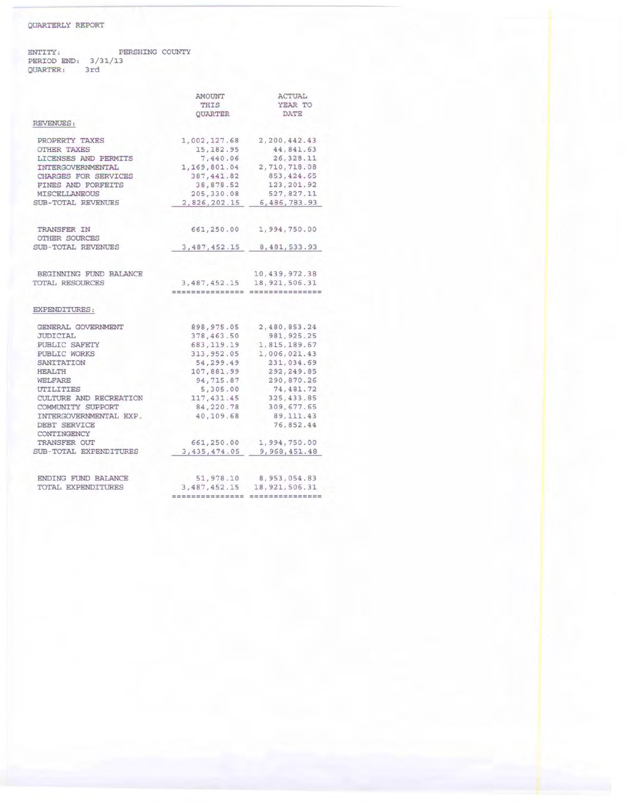## QUARTERLY REPORT

ENTITY: PERIOD END: PERSHING COUNTY 3/31/13 QUARTER: 3rd

|                             | AMOUNT<br>THIS<br>QUARTER | ACTUAL<br>YEAR TO<br>DATE                                                                                                                                                                                                                                                                                                                                                                                                                                   |
|-----------------------------|---------------------------|-------------------------------------------------------------------------------------------------------------------------------------------------------------------------------------------------------------------------------------------------------------------------------------------------------------------------------------------------------------------------------------------------------------------------------------------------------------|
|                             |                           |                                                                                                                                                                                                                                                                                                                                                                                                                                                             |
|                             |                           |                                                                                                                                                                                                                                                                                                                                                                                                                                                             |
| REVENUES:                   |                           |                                                                                                                                                                                                                                                                                                                                                                                                                                                             |
| PROPERTY TAXES              | 1,002,127.68              | 2,200,442.43                                                                                                                                                                                                                                                                                                                                                                                                                                                |
| OTHER TAXES                 | 15, 182.95                | 44,841.63                                                                                                                                                                                                                                                                                                                                                                                                                                                   |
| LICENSES AND PERMITS        | 7,440.06                  | 26, 328.11                                                                                                                                                                                                                                                                                                                                                                                                                                                  |
| INTERGOVERNMENTAL           | 1,169,801.04              | 2,710,718.08                                                                                                                                                                                                                                                                                                                                                                                                                                                |
| CHARGES FOR SERVICES        | 387, 441.82               | 853, 424.65                                                                                                                                                                                                                                                                                                                                                                                                                                                 |
| FINES AND FORFEITS          | 38,878.52                 | 123, 201.92                                                                                                                                                                                                                                                                                                                                                                                                                                                 |
| MISCELLANEOUS               | 205,330.08                | 527,827.11                                                                                                                                                                                                                                                                                                                                                                                                                                                  |
| SUB-TOTAL REVENUES          | 2,826,202.15              | 6,486,783.93                                                                                                                                                                                                                                                                                                                                                                                                                                                |
| TRANSFER IN                 | 661,250.00                | 1,994,750.00                                                                                                                                                                                                                                                                                                                                                                                                                                                |
| OTHER SOURCES               |                           |                                                                                                                                                                                                                                                                                                                                                                                                                                                             |
| SUB-TOTAL REVENUES          | 3, 487, 452.15            | 8, 481, 533.93                                                                                                                                                                                                                                                                                                                                                                                                                                              |
| BEGINNING FUND BALANCE      |                           | 10, 439, 972.38                                                                                                                                                                                                                                                                                                                                                                                                                                             |
| TOTAL RESOURCES             | 3, 487, 452.15            | 18, 921, 506.31                                                                                                                                                                                                                                                                                                                                                                                                                                             |
|                             | ---------------           | $\mathcal{C} \mathcal{C} \mathcal{C} \mathcal{C} \mathcal{C} \mathcal{C} \mathcal{C} \mathcal{C} \mathcal{C} \mathcal{C} \mathcal{C} \mathcal{C} \mathcal{C} \mathcal{C} \mathcal{C} \mathcal{C} \mathcal{C} \mathcal{C} \mathcal{C} \mathcal{C} \mathcal{C} \mathcal{C} \mathcal{C} \mathcal{C} \mathcal{C} \mathcal{C} \mathcal{C} \mathcal{C} \mathcal{C} \mathcal{C} \mathcal{C} \mathcal{C} \mathcal{C} \mathcal{C} \mathcal{C} \mathcal{C} \mathcal{$ |
| EXPENDITURES:               |                           |                                                                                                                                                                                                                                                                                                                                                                                                                                                             |
| GENERAL GOVERNMENT          | 898, 975.05               | 2,480,853.24                                                                                                                                                                                                                                                                                                                                                                                                                                                |
| JUDICIAL                    | 378, 463.50               | 981, 925.25                                                                                                                                                                                                                                                                                                                                                                                                                                                 |
| PUBLIC SAFETY               | 683, 119.19               | 1,815,189.67                                                                                                                                                                                                                                                                                                                                                                                                                                                |
| PUBLIC WORKS                | 313, 952.05               | 1,006,021.43                                                                                                                                                                                                                                                                                                                                                                                                                                                |
| SANITATION                  | 54,299.49                 | 231,034.69                                                                                                                                                                                                                                                                                                                                                                                                                                                  |
| <b>HEALTH</b>               | 107,881.99                | 292, 249.85                                                                                                                                                                                                                                                                                                                                                                                                                                                 |
| WELFARE                     | 94,715.87                 | 290,870.26                                                                                                                                                                                                                                                                                                                                                                                                                                                  |
| UTILITIES                   | 5,305.00                  | 74, 481.72                                                                                                                                                                                                                                                                                                                                                                                                                                                  |
| CULTURE AND RECREATION      | 117, 431.45               | 325, 433.85                                                                                                                                                                                                                                                                                                                                                                                                                                                 |
| COMMUNITY SUPPORT           | 84, 220.78                | 309, 677.65                                                                                                                                                                                                                                                                                                                                                                                                                                                 |
| INTERGOVERNMENTAL EXP.      | 40,109.68                 | 89, 111.43                                                                                                                                                                                                                                                                                                                                                                                                                                                  |
| DEBT SERVICE<br>CONTINGENCY |                           | 76,852.44                                                                                                                                                                                                                                                                                                                                                                                                                                                   |
| TRANSFER OUT                | 661,250.00                | 1,994,750.00                                                                                                                                                                                                                                                                                                                                                                                                                                                |
| SUB-TOTAL EXPENDITURES      | 3, 435, 474.05            | 9,968,451.48                                                                                                                                                                                                                                                                                                                                                                                                                                                |
| ENDING FUND BALANCE         | 51,978.10                 | 8, 953, 054.83                                                                                                                                                                                                                                                                                                                                                                                                                                              |
| TOTAL EXPENDITURES          | 3, 487, 452.15            | 18, 921, 506.31                                                                                                                                                                                                                                                                                                                                                                                                                                             |
|                             |                           |                                                                                                                                                                                                                                                                                                                                                                                                                                                             |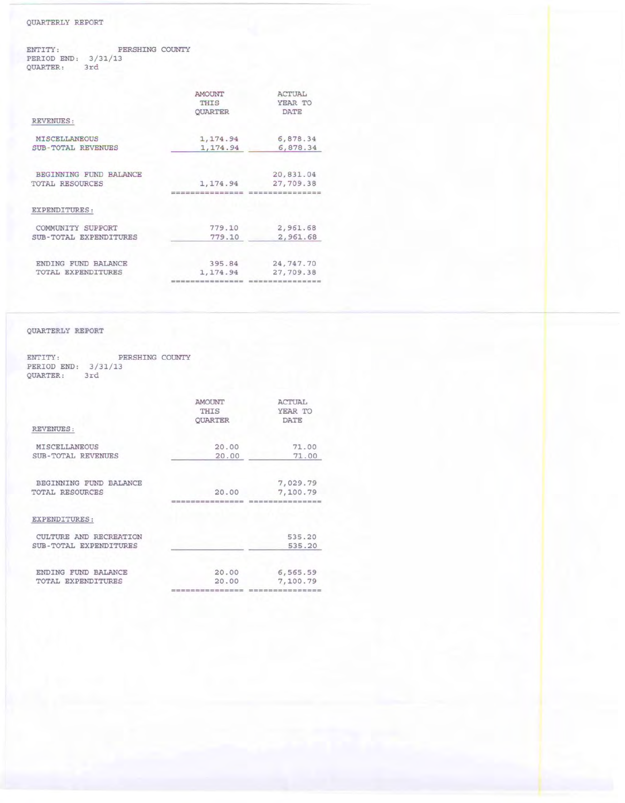## QUARTERLY REPORT

ENTITY: PERSHING COUNTY PERIOD END: 3/31/13<br>QUARTER: 3rd

|                           | AMOUNT         | <b>ACTUAL</b>   |
|---------------------------|----------------|-----------------|
|                           | THIS           | YEAR TO         |
|                           | <b>OUARTER</b> | <b>DATE</b>     |
| REVENUES:                 |                |                 |
| MISCELLANEOUS             | 1, 174.94      | 6,878.34        |
| <b>SUB-TOTAL REVENUES</b> | 1, 174.94      | 6,878.34        |
| BEGINNING FUND BALANCE    |                | 20,831.04       |
| <b>TOTAL RESOURCES</b>    | 1, 174.94      | 27,709.38       |
|                           |                | =============== |
| EXPENDITURES:             |                |                 |
| COMMUNITY SUPPORT         | 779.10         | 2,961.68        |
| SUB-TOTAL EXPENDITURES    | 779.10         | 2,961.68        |
| ENDING FUND BALANCE       | 395.84         | 24,747.70       |
| TOTAL EXPENDITURES        | 1, 174.94      | 27,709.38       |
|                           |                |                 |

## QUARTERLY REPORT

ENTITY: PERSHING COUNTY PERIOD END: 3/31/13<br>QUARTER: 3rd

|                        | AMOUNT<br>THIS<br><b>OUARTER</b> | ACTUAL<br>YEAR TO<br><b>DATE</b> |
|------------------------|----------------------------------|----------------------------------|
| <b>REVENUES:</b>       |                                  |                                  |
| MISCELLANEOUS          | 20.00                            | 71.00                            |
| SUB-TOTAL REVENUES     | 20.00                            | 71.00                            |
| BEGINNING FUND BALANCE |                                  | 7,029.79                         |
| TOTAL RESOURCES        | 20.00                            | 7,100.79                         |
|                        | ==============                   | ===============                  |
| EXPENDITURES:          |                                  |                                  |
| CULTURE AND RECREATION |                                  | 535.20                           |
| SUB-TOTAL EXPENDITURES |                                  | 535.20                           |
| ENDING FUND BALANCE    | 20.00                            | 6,565.59                         |
| TOTAL EXPENDITURES     | 20,00                            | 7,100.79                         |
|                        | ---------------                  | ------------------               |